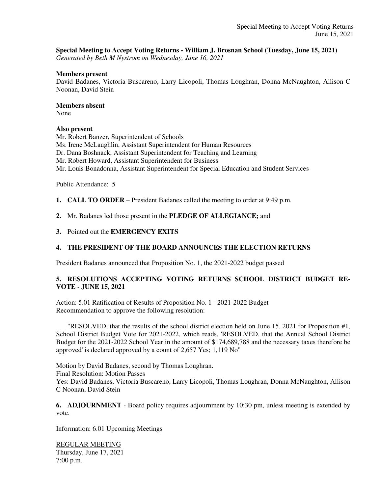## **Special Meeting to Accept Voting Returns - William J. Brosnan School (Tuesday, June 15, 2021)**

*Generated by Beth M Nystrom on Wednesday, June 16, 2021*

#### **Members present**

David Badanes, Victoria Buscareno, Larry Licopoli, Thomas Loughran, Donna McNaughton, Allison C Noonan, David Stein

#### **Members absent**

None

### **Also present**

Mr. Robert Banzer, Superintendent of Schools Ms. Irene McLaughlin, Assistant Superintendent for Human Resources Dr. Dana Boshnack, Assistant Superintendent for Teaching and Learning Mr. Robert Howard, Assistant Superintendent for Business Mr. Louis Bonadonna, Assistant Superintendent for Special Education and Student Services

Public Attendance: 5

**1. CALL TO ORDER** – President Badanes called the meeting to order at 9:49 p.m.

**2.** Mr. Badanes led those present in the **PLEDGE OF ALLEGIANCE;** and

**3.** Pointed out the **EMERGENCY EXITS**

## **4. THE PRESIDENT OF THE BOARD ANNOUNCES THE ELECTION RETURNS**

President Badanes announced that Proposition No. 1, the 2021-2022 budget passed

# **5. RESOLUTIONS ACCEPTING VOTING RETURNS SCHOOL DISTRICT BUDGET RE-VOTE - JUNE 15, 2021**

Action: 5.01 Ratification of Results of Proposition No. 1 - 2021-2022 Budget Recommendation to approve the following resolution:

 "RESOLVED, that the results of the school district election held on June 15, 2021 for Proposition #1, School District Budget Vote for 2021-2022, which reads, 'RESOLVED, that the Annual School District Budget for the 2021-2022 School Year in the amount of \$174,689,788 and the necessary taxes therefore be approved' is declared approved by a count of 2,657 Yes; 1,119 No"

Motion by David Badanes, second by Thomas Loughran. Final Resolution: Motion Passes Yes: David Badanes, Victoria Buscareno, Larry Licopoli, Thomas Loughran, Donna McNaughton, Allison C Noonan, David Stein

**6. ADJOURNMENT** - Board policy requires adjournment by 10:30 pm, unless meeting is extended by vote.

Information: 6.01 Upcoming Meetings

REGULAR MEETING Thursday, June 17, 2021 7:00 p.m.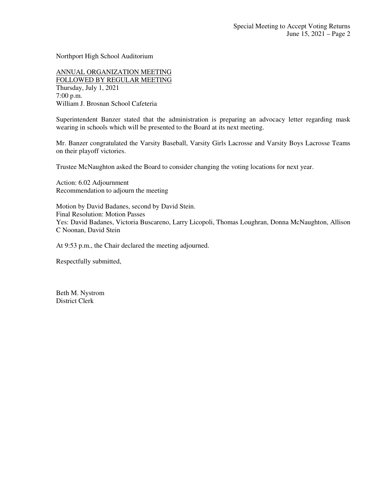Northport High School Auditorium

ANNUAL ORGANIZATION MEETING FOLLOWED BY REGULAR MEETING Thursday, July 1, 2021 7:00 p.m. William J. Brosnan School Cafeteria

Superintendent Banzer stated that the administration is preparing an advocacy letter regarding mask wearing in schools which will be presented to the Board at its next meeting.

Mr. Banzer congratulated the Varsity Baseball, Varsity Girls Lacrosse and Varsity Boys Lacrosse Teams on their playoff victories.

Trustee McNaughton asked the Board to consider changing the voting locations for next year.

Action: 6.02 Adjournment Recommendation to adjourn the meeting

Motion by David Badanes, second by David Stein. Final Resolution: Motion Passes Yes: David Badanes, Victoria Buscareno, Larry Licopoli, Thomas Loughran, Donna McNaughton, Allison C Noonan, David Stein

At 9:53 p.m., the Chair declared the meeting adjourned.

Respectfully submitted,

Beth M. Nystrom District Clerk